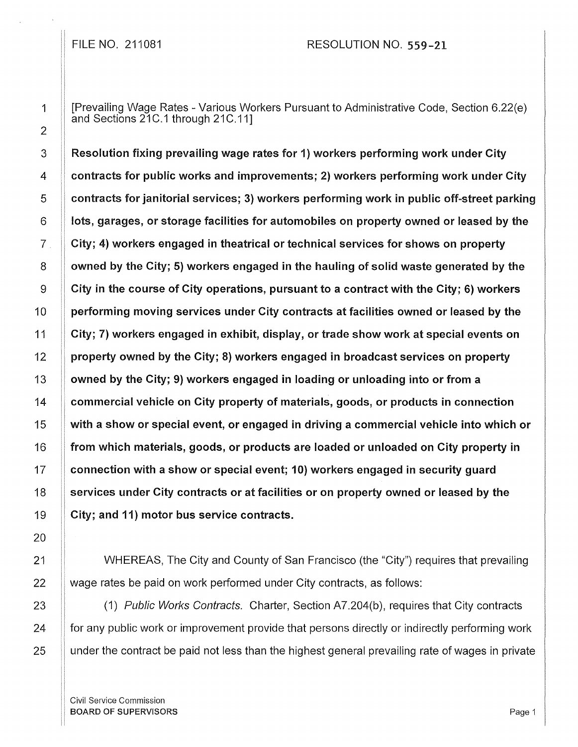FILE NO. 211081 RESOLUTION NO. 559-21

[Prevailing Wage Rates - Various Workers Pursuant to Administrative Code, Section 6.22(e) and Sections 21C.1 through 21C.11]

Resolution fixing prevailing wage rates for 1) workers performing work under City contracts for public works and improvements; 2) workers performing work under City contracts for janitorial services; 3) workers performing work in public off-street parking lots, garages, or storage facilities for automobiles on property owned or leased by the City; 4) workers engaged in theatrical or technical services for shows on property owned by the City; 5) workers engaged in the hauling of solid waste generated by the City in the course of City operations, pursuant to a contract with the City; 6) workers performing moving services under City contracts at facilities owned or leased by the City; 7) workers engaged in exhibit, display, or trade show work at special events on property owned by the City; 8) workers engaged in broadcast services on property owned by the City; 9) workers engaged in loading or unloading into or from a commercial vehicle on City property of materials, goods, or products in connection with a show or special event, or engaged in driving a commercial vehicle into which or from which materials, goods, or products are loaded or unloaded on City property in connection with a show or special event; 10) workers engaged in security guard services under City contracts or at facilities or on property owned or leased by the City; and 11) motor bus service contracts.

WHEREAS, The City and County of San Francisco (the "City") requires that prevailing wage rates be paid on work performed under City contracts, as follows:

(1) Public Works Contracts. Charter, Section A7.204(b), requires that City contracts for any public work or improvement provide that persons directly or indirectly performing work under the contract be paid not less than the highest general prevailing rate of wages in private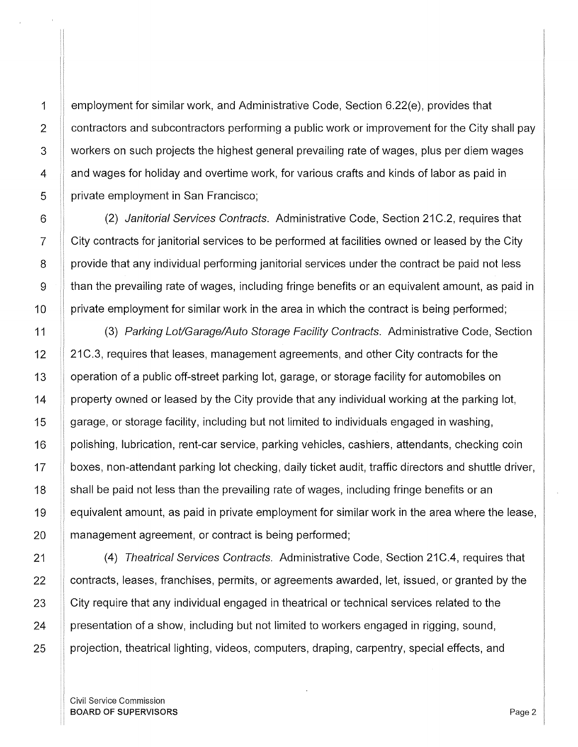1 Employment for similar work, and Administrative Code, Section 6.22(e), provides that  $2 \parallel$  contractors and subcontractors performing a public work or improvement for the City shall pay 3 workers on such projects the highest general prevailing rate of wages, plus per diem wages 4 and wages for holiday and overtime work, for various crafts and kinds of labor as paid in 5 | private employment in San Francisco;

6 | (2) Janitorial Services Contracts. Administrative Code, Section 21C.2, requires that 7 City contracts for janitorial services to be performed at facilities owned or leased by the City 8 provide that any individual performing janitorial services under the contract be paid not less  $9 \pm 1$  than the prevailing rate of wages, including fringe benefits or an equivalent amount, as paid in 10 private employment for similar work in the area in which the contract is being performed;

11 | (3) Parking Lot/Garage/Auto Storage Facility Contracts. Administrative Code, Section 12 21 C.3, requires that leases, management agreements, and other City contracts for the 13 | operation of a public off-street parking lot, garage, or storage facility for automobiles on  $14$  | property owned or leased by the City provide that any individual working at the parking lot, 15 | garage, or storage facility, including but not limited to individuals engaged in washing, 16 | polishing, lubrication, rent-car service, parking vehicles, cashiers, attendants, checking coin 17 | boxes, non-attendant parking lot checking, daily ticket audit, traffic directors and shuttle driver, 18 Shall be paid not less than the prevailing rate of wages, including fringe benefits or an 19 **.** equivalent amount, as paid in private employment for similar work in the area where the lease, 20 **management agreement, or contract is being performed;** 

21 **(4)** Theatrical Services Contracts. Administrative Code, Section 21C.4, requires that 22 **contracts, leases, franchises, permits, or agreements awarded, let, issued, or granted by the** 23 City require that any individual engaged in theatrical or technical services related to the 24 If presentation of a show, including but not limited to workers engaged in rigging, sound, 25 | projection, theatrical lighting, videos, computers, draping, carpentry, special effects, and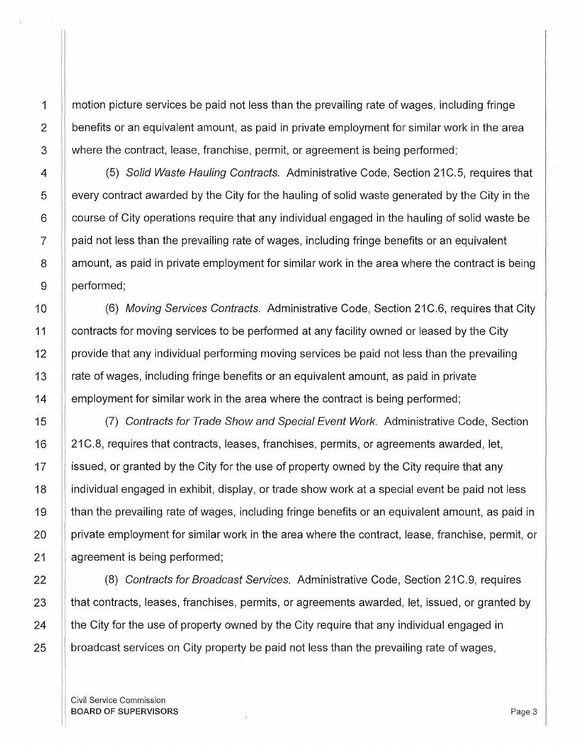1

2

3

motion picture services be paid not less than the prevailing rate of wages, including fringe benefits or an equivalent amount, as paid in private employment for similar work in the area where the contract, lease, franchise, permit, or agreement is being performed;

(5) Solid Waste Hauling Contracts. Administrative Code, Section 21C.5, requires that every contract awarded by the City for the hauling of solid waste generated by the City in the course of City operations require that any individual engaged in the hauling of solid waste be paid not less than the prevailing rate of wages, including fringe benefits or an equivalent amount, as paid in private employment for similar work in the area where the contract is being performed;

(6) Moving Services Contracts. Administrative Code, Section 21C.6, requires that City contracts for moving services to be performed at any facility owned or leased by the City provide that any individual performing moving services be paid not less than the prevailing rate of wages, including fringe benefits or an equivalent amount, as paid in private employment for similar work in the area where the contract is being performed;

(7) Contracts for Trade Show and Special Event Work. Administrative Code, Section 21 C.8, requires that contracts, leases, franchises, permits, or agreements awarded, let, issued, or granted by the City for the use of property owned by the City require that any individual engaged in exhibit, display, or trade show work at a special event be paid not less than the prevailing rate of wages, including fringe benefits or an equivalent amount, as paid in private employment for similar work in the area where the contract, lease, franchise, permit, or agreement is being performed;

(8) Contracts for Broadcast Services. Administrative Code, Section 21C.9, requires that contracts, leases, franchises, permits, or agreements awarded, let, issued, or granted by the City for the use of property owned by the City require that any individual engaged in broadcast services on City property be paid not less than the prevailing rate of wages,

Civil Service Commission **BOARD OF SUPERVISORS** Page 3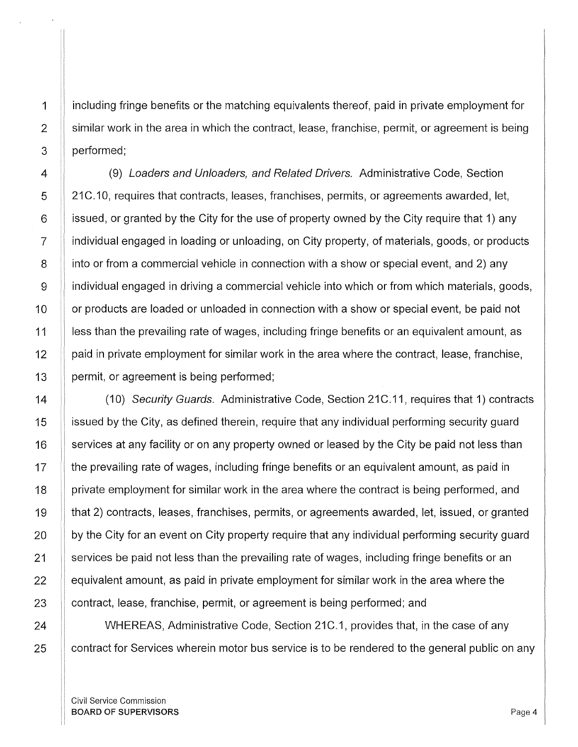including fringe benefits or the matching equivalents thereof, paid in private employment for similar work in the area in which the contract, lease, franchise, permit, or agreement is being performed;

(9) Loaders and Unloaders, and Related Drivers. Administrative Code, Section 21C.10, requires that contracts, leases, franchises, permits, or agreements awarded, let, issued, or granted by the City for the use of property owned by the City require that 1) any individual engaged in loading or unloading, on City property, of materials, goods, or products into or from a commercial vehicle in connection with a show or special event, and 2) any individual engaged in driving a commercial vehicle into which or from which materials, goods, or products are loaded or unloaded in connection with a show or special event, be paid not less than the prevailing rate of wages, including fringe benefits or an equivalent amount, as paid in private employment for similar work in the area where the contract, lease, franchise, permit, or agreement is being performed;

(10) Security Guards. Administrative Code, Section 21C.11, requires that 1) contracts issued by the City, as defined therein, require that any individual performing security guard services at any facility or on any property owned or leased by the City be paid not less than the prevailing rate of wages, including fringe benefits or an equivalent amount, as paid in private employment for similar work in the area where the contract is being performed, and that 2) contracts, leases, franchises, permits, or agreements awarded, let, issued, or granted by the City for an event on City property require that any individual performing security guard services be paid not less than the prevailing rate of wages, including fringe benefits or an equivalent amount, as paid in private employment for similar work in the area where the contract, lease, franchise, permit, or agreement is being performed; and

WHEREAS, Administrative Code, Section 21C.1, provides that, in the case of any contract for Services wherein motor bus service is to be rendered to the general public on any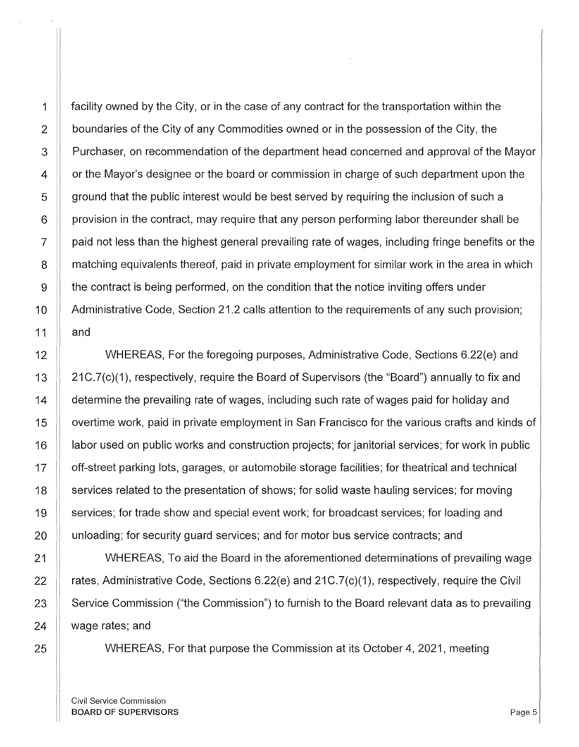1 **facility owned by the City, or in the case of any contract for the transportation within the** 2 boundaries of the City of any Commodities owned or in the possession of the City, the 3 Purchaser, on recommendation of the department head concerned and approval of the Mayor  $4 \parallel$  or the Mayor's designee or the board or commission in charge of such department upon the  $\overline{5}$   $\parallel$  ground that the public interest would be best served by requiring the inclusion of such a  $6 \parallel$  provision in the contract, may require that any person performing labor thereunder shall be  $7 \parallel$  paid not less than the highest general prevailing rate of wages, including fringe benefits or the 8 **If matching equivalents thereof, paid in private employment for similar work in the area in which**  $9 \parallel$  the contract is being performed, on the condition that the notice inviting offers under 10  $\parallel$  Administrative Code, Section 21.2 calls attention to the requirements of any such provision; 11  $\parallel$  and 12 WHEREAS, For the foregoing purposes, Administrative Code, Sections 6.22(e) and 13 21C.7(c)(1), respectively, require the Board of Supervisors (the "Board") annually to fix and 14 **determine the prevailing rate of wages**, including such rate of wages paid for holiday and 15 | overtime work, paid in private employment in San Francisco for the various crafts and kinds of 16 **labor used on public works and construction projects**; for janitorial services; for work in public 17 off-street parking lots, garages, or automobile storage facilities; for theatrical and technical 18 Services related to the presentation of shows; for solid waste hauling services; for moving 19 Services; for trade show and special event work; for broadcast services; for loading and 20 | unloading; for security guard services; and for motor bus service contracts; and

21 NUMBEREAS, To aid the Board in the aforementioned determinations of prevailing wage  $\parallel$  rates, Administrative Code, Sections 6.22(e) and 21C.7(c)(1), respectively, require the Civil  $\parallel$  Service Commission ("the Commission") to furnish to the Board relevant data as to prevailing  $\parallel$  wage rates; and

25 **WHEREAS, For that purpose the Commission at its October 4, 2021, meeting**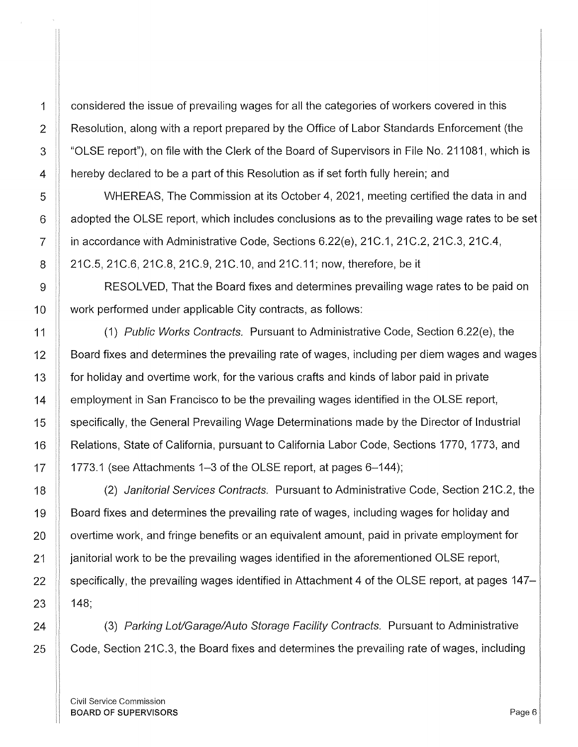1 considered the issue of prevailing wages for all the categories of workers covered in this 2 All Resolution, along with a report prepared by the Office of Labor Standards Enforcement (the 3 The "OLSE report"), on file with the Clerk of the Board of Supervisors in File No. 211081, which is 4 hereby declared to be a part of this Resolution as if set forth fully herein; and

5 WHEREAS, The Commission at its October 4, 2021, meeting certified the data in and  $6$   $\parallel$  adopted the OLSE report, which includes conclusions as to the prevailing wage rates to be set 7  $\parallel$  in accordance with Administrative Code, Sections 6.22(e), 21C.1, 21C.2, 21C.3, 21C.4, 8 21 C.5, 21 C.6, 21 C.8, 21 C.9, 21 C.10, and 21 C.11; now, therefore, be it

9 RESOLVED, That the Board fixes and determines prevailing wage rates to be paid on 10 Work performed under applicable City contracts, as follows:

11  $\parallel$  (1) Public Works Contracts. Pursuant to Administrative Code, Section 6.22(e), the 12 **EX** Board fixes and determines the prevailing rate of wages, including per diem wages and wages 13 for holiday and overtime work, for the various crafts and kinds of labor paid in private 14 **Example 1** employment in San Francisco to be the prevailing wages identified in the OLSE report, 15 Specifically, the General Prevailing Wage Determinations made by the Director of Industrial 16 | Relations, State of California, pursuant to California Labor Code, Sections 1770, 1773, and  $17$  | 1773.1 (see Attachments 1–3 of the OLSE report, at pages 6–144);

18 (2) Janitorial Services Contracts. Pursuant to Administrative Code, Section 21C.2, the 19 | Board fixes and determines the prevailing rate of wages, including wages for holiday and 20 **o** overtime work, and fringe benefits or an equivalent amount, paid in private employment for 21 **janitorial work to be the prevailing wages identified in the aforementioned OLSE report,** 22 **Specifically, the prevailing wages identified in Attachment 4 of the OLSE report, at pages 147–**  $23$  | 148;

24 | (3) Parking Lot/Garage/Auto Storage Facility Contracts. Pursuant to Administrative  $25$   $\parallel$  Code, Section 21 C.3, the Board fixes and determines the prevailing rate of wages, including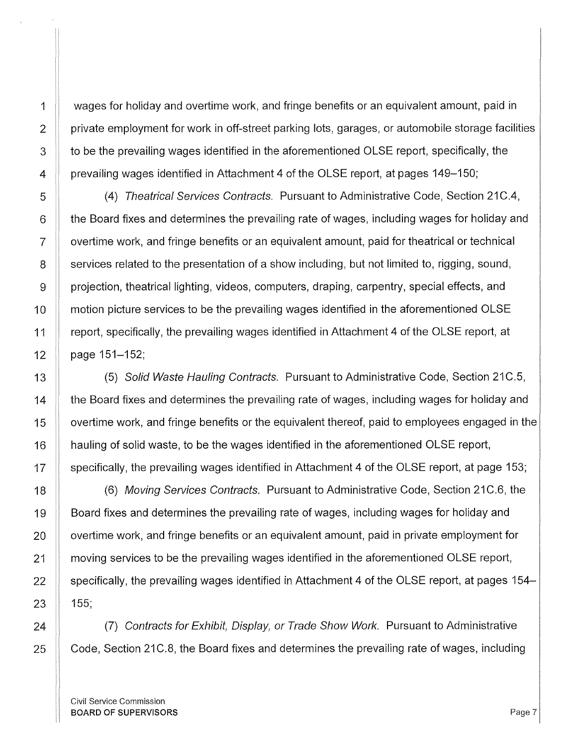3 to be the prevailing wages identified in the aforementioned OLSE report, specifically, the 4 prevailing wages identified in Attachment 4 of the OLSE report, at pages 149–150; 5 (4) Theatrical Services Contracts. Pursuant to Administrative Code, Section 21C.4,  $6$   $\parallel$  the Board fixes and determines the prevailing rate of wages, including wages for holiday and 7 overtime work, and fringe benefits or an equivalent amount, paid for theatrical or technical  $8 \parallel$  services related to the presentation of a show including, but not limited to, rigging, sound, 9 projection, theatrical lighting, videos, computers, draping, carpentry, special effects, and 10 **If motion picture services to be the prevailing wages identified in the aforementioned OLSE** 11 report, specifically, the prevailing wages identified in Attachment 4 of the OLSE report, at 12  $\parallel$  page 151-152; 13 (5) Solid Waste Hauling Contracts. Pursuant to Administrative Code, Section 21C.5,  $14$   $\parallel$  the Board fixes and determines the prevailing rate of wages, including wages for holiday and 15 **If overtime work, and fringe benefits or the equivalent thereof, paid to employees engaged in the** 16 **I** hauling of solid waste, to be the wages identified in the aforementioned OLSE report,

17 | specifically, the prevailing wages identified in Attachment 4 of the OLSE report, at page 153; 18 **II** (6) Moving Services Contracts. Pursuant to Administrative Code, Section 21C.6, the 19 **Soard fixes and determines the prevailing rate of wages, including wages for holiday and** 20 **I** overtime work, and fringe benefits or an equivalent amount, paid in private employment for 21 The moving services to be the prevailing wages identified in the aforementioned OLSE report, 22  $\parallel$  specifically, the prevailing wages identified in Attachment 4 of the OLSE report, at pages 154–  $23$  155;

1 wages for holiday and overtime work, and fringe benefits or an equivalent amount, paid in

2  $\parallel$  private employment for work in off-street parking lots, garages, or automobile storage facilities

24  $\parallel$  (7) Contracts for Exhibit, Display, or Trade Show Work. Pursuant to Administrative 25 Code, Section 21 C.8, the Board fixes and determines the prevailing rate of wages, including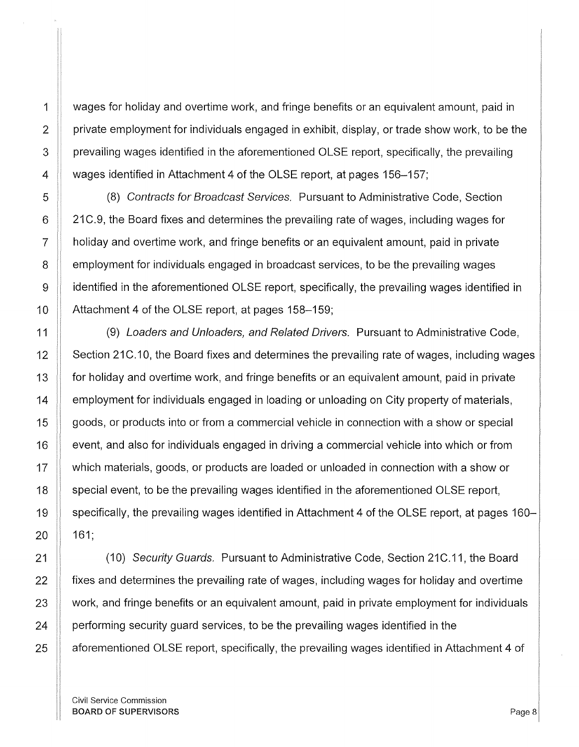1 wages for holiday and overtime work, and fringe benefits or an equivalent amount, paid in 2  $\parallel$  private employment for individuals engaged in exhibit, display, or trade show work, to be the 3 prevailing wages identified in the aforementioned OLSE report, specifically, the prevailing 4 Wages identified in Attachment 4 of the OLSE report, at pages 156–157;

5 (8) Contracts for Broadcast Services. Pursuant to Administrative Code, Section  $6$  | 21 C.9, the Board fixes and determines the prevailing rate of wages, including wages for 7 holiday and overtime work, and fringe benefits or an equivalent amount, paid in private  $8$   $\parallel$  employment for individuals engaged in broadcast services, to be the prevailing wages 9 identified in the aforementioned OLSE report, specifically, the prevailing wages identified in 10 **Attachment 4 of the OLSE report, at pages 158–159;** 

11 | (9) Loaders and Unloaders, and Related Drivers. Pursuant to Administrative Code, 12 Section 21C.10, the Board fixes and determines the prevailing rate of wages, including wages 13 **for holiday and overtime work, and fringe benefits or an equivalent amount, paid in private** 14 **Figure 1** employment for individuals engaged in loading or unloading on City property of materials, 15 | goods, or products into or from a commercial vehicle in connection with a show or special 16 event, and also for individuals engaged in driving a commercial vehicle into which or from 17 which materials, goods, or products are loaded or unloaded in connection with a show or 18 | special event, to be the prevailing wages identified in the aforementioned OLSE report, 19 Specifically, the prevailing wages identified in Attachment 4 of the OLSE report, at pages 160–  $20$  161;

21 | (10) Security Guards. Pursuant to Administrative Code, Section 21 C.11, the Board  $\parallel$  fixes and determines the prevailing rate of wages, including wages for holiday and overtime  $\parallel$  work, and fringe benefits or an equivalent amount, paid in private employment for individuals | performing security guard services, to be the prevailing wages identified in the **a** aforementioned OLSE report, specifically, the prevailing wages identified in Attachment 4 of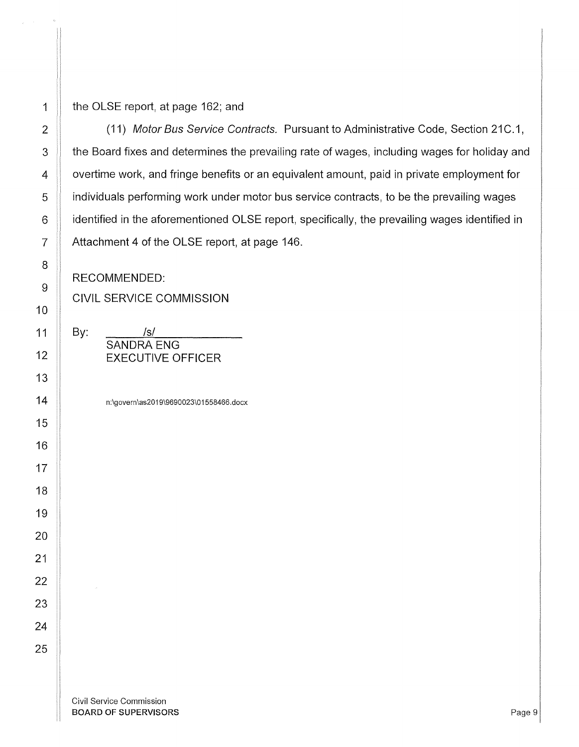## $\parallel$  the OLSE report, at page 162; and

2 | (11) Motor Bus Service Contracts. Pursuant to Administrative Code, Section 21C.1, 3 the Board fixes and determines the prevailing rate of wages, including wages for holiday and **Fig.** overtime work, and fringe benefits or an equivalent amount, paid in private employment for || individuals performing work under motor bus service contracts, to be the prevailing wages **identified in the aforementioned OLSE report**, specifically, the prevailing wages identified in 7 | Attachment 4 of the OLSE report, at page 146.

RECOMMENDED:

CIVIL SERVICE COMMISSION

SANDRA ENG

n:\govern\as2019\9690023\01558466.docx